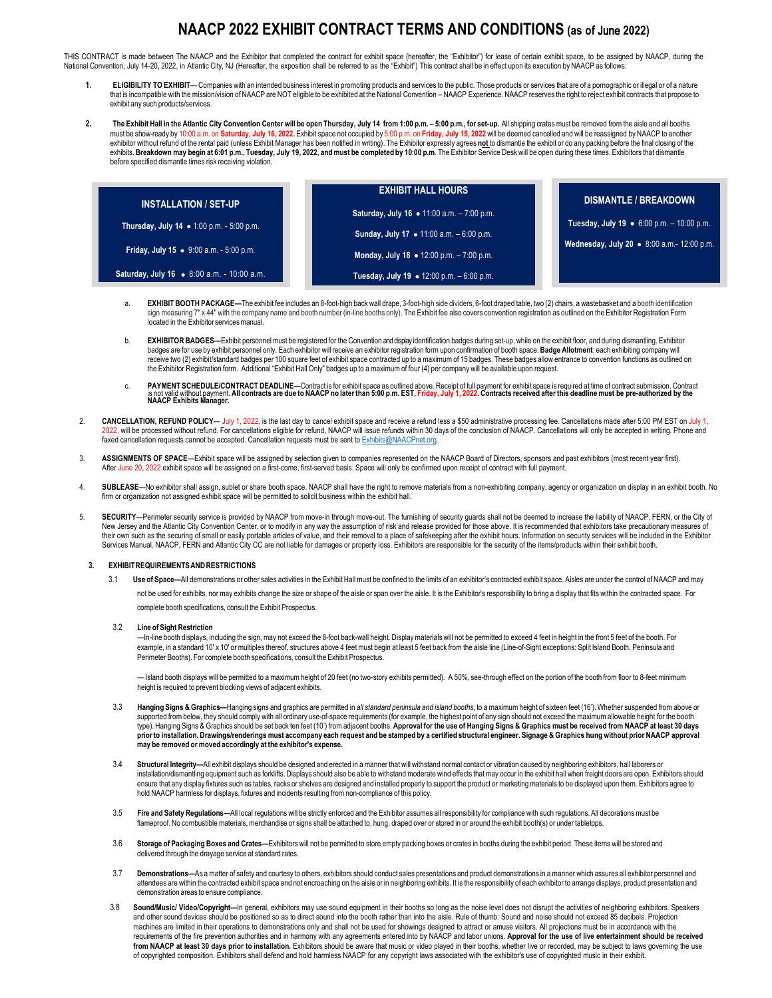## **NAACP 2022 EXHIBIT CONTRACT TERMS AND CONDITIONS (as of** June **2022)**

THIS CONTRACT is made between The NAACP and the Exhibitor that completed the contract for exhibit space (hereafter, the "Exhibitor") for lease of certain exhibit space, to be assigned by NAACP, during the National Convention, July 14-20, 2022, in Atlantic City, NJ (Hereafter, the exposition shall be referred to as the "Exhibit") This contract shall be in effect upon its execution by NAACP as follows

- 1. ELIGIBILITY TO EXHIBIT— Companies with an intended business interest in promoting products and services to the public. Those products or services that are of a pornographic or illegal or of a nature<br>that is incompatible exhibit any such products/services.
- 2. The Exhibit Hall in the Atlantic City Convention Center will be open Thursday, July 14 from 1:00 p.m., -5:00 p.m., for set-up. All shipping crates must be removed from the aisle and all booths must be show-ready by 10:00 a.m. on **Saturday, July 16, 2022.** Exhibit space not occupied by 5:00 p.m. on **Friday, July 15, 2022** will be deemed cancelled and will be reassigned by NAACP to another exhibitor without refund of the rental paid (unless Exhibit Manager has been notified in writing). The Exhibitor expressly agrees **not** to dismantle the exhibit or do any packing before the final closing of the exhibits. Breakdown may begin at 6:01 p.m., Tuesday, July 19, 2022, and must be completed by 10:00 p.m. The Exhibitor Service Desk will be open during these times. Exhibitors that dismantle before specified dismantle times risk receiving violation.

|                                                  | <b>EXHIBIT HALL HOURS</b>                         | <b>DISMANTLE / BREAKDOWN</b>                                                                    |
|--------------------------------------------------|---------------------------------------------------|-------------------------------------------------------------------------------------------------|
| <b>INSTALLATION / SET-UP</b>                     | Saturday, July 16 • 11:00 a.m. - 7:00 p.m.        | Tuesday, July 19 $\bullet$ 6:00 p.m. - 10:00 p.m.<br>Wednesday, July 20 • 8:00 a.m.- 12:00 p.m. |
| <b>Thursday, July 14 • 1:00 p.m. - 5:00 p.m.</b> | <b>Sunday, July 17 • 11:00 a.m.</b> $-6:00$ p.m.  |                                                                                                 |
| <b>Friday, July 15 •</b> 9:00 a.m. - 5:00 p.m.   | Monday, July 18 $\bullet$ 12:00 p.m. $-7:00$ p.m. |                                                                                                 |
| Saturday, July 16 • 8:00 a.m. - 10:00 a.m.       | Tuesday, July 19 ● 12:00 p.m. - 6:00 p.m.         |                                                                                                 |

- **EXHIBIT BOOTH PACKAGE**—The exhibit fee includes an 8-foot-high back wall drape, 3-foot-high side dividers, 6-foot draped table, two (2) chairs, a wastebasket and a booth identification sign measuring 7" x 44" with the company name and booth number (in-line booths only). The Exhibit fee also covers convention registration as outlined on the Exhibitor Registration Form located in the Exhibitor services manual.
- b. **EXHIBITOR BADGES—**Exhibit personnelmust be registered for the Convention and display identification badges during set-up, while on the exhibit floor, and during dismantling. Exhibitor badges are for use by exhibit personnel only. Each exhibitor will receive an exhibitor registration form upon confirmation of booth space. **Badge Allotment**: each exhibiting company will receive two (2) exhibit/standard badges per 100 square feet of exhibit space contracted up to a maximum of 15 badges. These badges allow entrance to convention functions as outlined on the Exhibitor Registration form. Additional "Exhibit Hall Only" badges up to a maximumof four (4) per company will be available upon request.
- c. PAYMENT SCHEDULE/CONTRACT DEADLINE—Contract is for exhibit space as outlined above. Receipt of full payment for exhibit space is required at time of contract submission. Contract<br>Is not valid without payment. All contra
- . CANCELLATION, REFUND POLICY— July 1, 2022, is the last day to cancel exhibit space and receive a refund less a \$50 administrative processing fee. Cancellations made after 5:00 PM EST on July 1,<br>2022, will be processed wi faxed cancellation requests cannot be accepted. Cancellation requests must be sent to [Exhibits@NAACPnet.org.](mailto:Exhibits@NAACPnet.org)
- 3. **ASSIGNMENTS OF SPACE**—Exhibit space will be assigned by selection given to companies represented on the NAACP Board of Directors, sponsors and past exhibitors (most recent year first). After June 20, 2022 exhibit space will be assigned on a first-come, first-served basis. Space will only be confirmed upon receipt of contract with full payment.
- 4. **SUBLEASE**—No exhibitor shall assign, sublet or share booth space. NAACP shall have the right to remove materials from a non-exhibiting company, agency or organization on display in an exhibit booth. No firm or organization not assigned exhibit space will be permitted to solicit business within the exhibit hall.
- 5. **SECURITY**—Perimeter security service is provided by NAACP from move-in through move-out. The furnishing of security guards shall not be deemed to increase the liability of NAACP, FERN, or the City of New Jersey and the Atlantic City Convention Center, or to modify in any way the assumption of risk and release provided for those above. It is recommended that exhibitors take precautionary measures of their own such as the securing of small or easily portable articles of value, and their removal to a place of safekeeping after the exhibit hours. Information on security services will be included in the Exhibitor their re Services Manual. NAACP, FERN and Atlantic City CC are not liable for damages or property loss. Exhibitors are responsible for the security of the items/products within their exhibit booth.

## **3. EXHIBITREQUIREMENTSANDRESTRICTIONS**

- 3.1 Use of Space—All demonstrations or other sales activities in the Exhibit Hall must be confined to the limits of an exhibitor's contracted exhibit space. Aisles are under the control of NAACP and may not be used for exhibits, nor may exhibits change the size or shape of the aisle or span over the aisle. It is the Exhibitor's responsibility to bring a display that fits within the contracted space. For complete booth specifications, consult the Exhibit Prospectus.
- 3.2 **Line of Sight Restriction**

—In-line booth displays, including the sign,may not exceed the 8-foot back-wall height. Displaymaterialswill not be permitted to exceed 4 feet in height in the front 5 feet of the booth. For example, in a standard 10' x 10' or multiples thereof, structures above 4 feet must begin at least 5 feet back from the aisle line (Line-of-Sight exceptions: Split Island Booth, Peninsula and Perimeter Booths). For complete booth specifications, consult the Exhibit Prospectus.

— Island booth displays will be permitted to a maximum height of 20 feet (no two-story exhibits permitted). A 50%, see-through effect on the portion of the booth from floor to 8-feet minimum height is required to prevent blocking views of adjacent exhibits.

- 3.3 Hanging Signs & Graphics-Hanging signs and graphics are permitted in all standard peninsula and island booths, to a maximum height of sixteen feet (16'). Whether suspended from above or supported from below, they should comply with all ordinary use-of-space requirements (for example, the highest point of any sign should not exceed the maximum allowable height for the booth type). Hanging Signs & Graphics should be set back ten feet (10) from adjacent booths. Approval for the use of Hanging Signs & Graphics must be received from NAACP at least 30 days prior to installation. Drawings/renderings must accompany each request and be stamped by a certified structural engineer. Signage & Graphics hung without prior NAACP approval **may be removed or moved accordingly at the exhibitor's expense.**
- 3.4 **Structural Integrity—**All exhibit displays should be designed and erected in a manner that will withstand normal contact or vibration caused by neighboring exhibitors, hall laborers or installation/dismantling equipment such as forklifts. Displays should also be able to withstand moderate wind effects thatmay occur in the exhibit hall when freight doors are open. Exhibitors should ensure that any display fixtures such as tables, racks or shelves are designed and installed properly to support the product or marketing materials to be displayed upon them. Exhibitors agree to hold NAACP harmless for displays, fixtures and incidents resulting from non-compliance of this policy.
- 3.5 Fire and Safety Regulations—All local regulations will be strictly enforced and the Exhibitor assumes all responsibility for compliance with such regulations. All decorations must be flameproof. No combustible materials, merchandise or signs shall be attached to, hung, draped over or stored in or around the exhibit booth(s) or under tabletops.
- 3.6 Storage of Packaging Boxes and Crates-Exhibitors will not be permitted to store empty packing boxes or crates in booths during the exhibit period. These items will be stored and delivered through the drayage service at standard rates.
- 3.7 **Demonstrations—**As a matter of safety and courtesy to others, exhibitors should conduct sales presentations and product demonstrations in a manner which assures all exhibitor personnel and attendees are within the contracted exhibit space and not encroaching on the aisle or in neighboring exhibits. It is the responsibility of each exhibitor to arrange displays, product presentation and demonstration areas to ensure compliance.
- 3.8 **Sound/Music/ Video/Copyright—**In general, exhibitors may use sound equipment in their booths so long as the noise level does not disrupt the activities of neighboring exhibitors. Speakers and other sound devices should be positioned so as to direct sound into the booth rather than into the aisle. Rule of thumb: Sound and noise should not exceed 85 decibels. Projection machines are limited in their operations to demonstrations only and shall not be used for showings designed to attract or amuse visitors. All projections must be in accordance with the requirements of the fire prevention authorities and in harmony with any agreements entered into by NAACP and labor unions. Approval for the use of live entertainment should be received from NAACP at least 30 days prior to installation. Exhibitors should be aware that music or video played in their booths, whether live or recorded, may be subiect to laws governing the use of copyrighted composition. Exhibitors shall defend and hold harmless NAACP for any copyright laws associated with the exhibitor's use of copyrighted music in their exhibit.